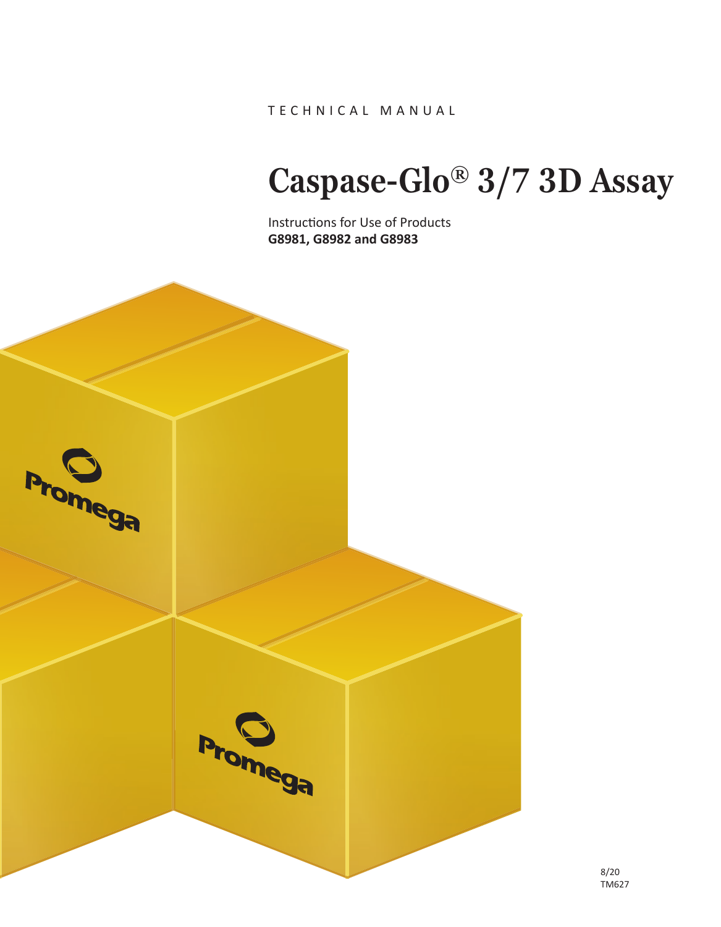TECHNICAL MANUAL

# **Caspase-Glo® 3/7 3D Assay**

Instructions for Use of Products **G8981, G8982 and G8983**

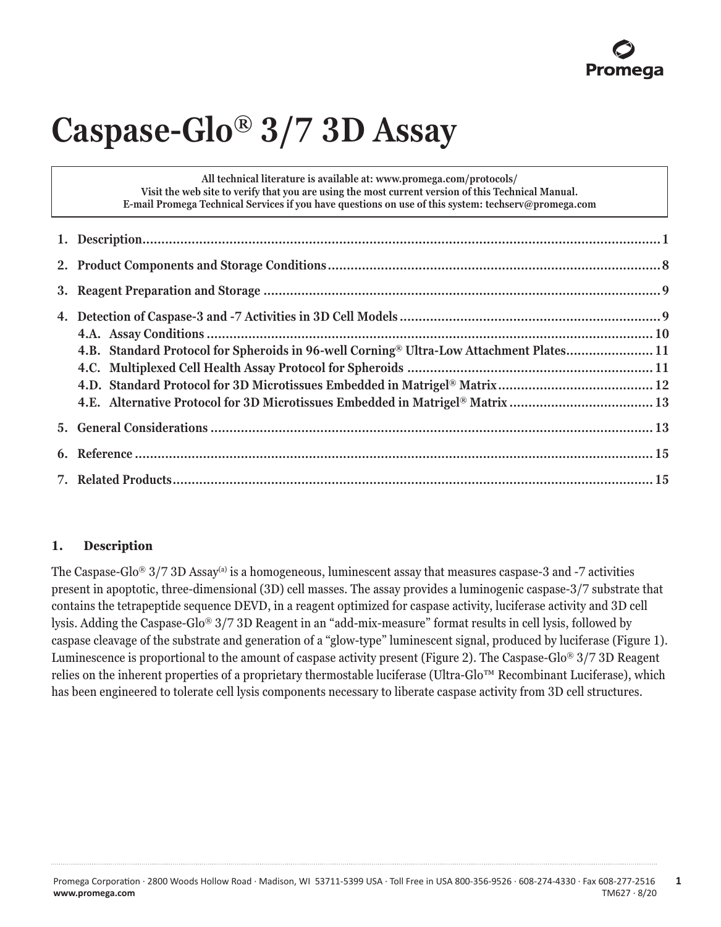# **Caspase-Glo® 3/7 3D Assay**

**All technical literature is available at: www.promega.com/protocols/ Visit the web site to verify that you are using the most current version of this Technical Manual. E-mail Promega Technical Services if you have questions on use of this system: techserv@promega.com**

| 4.B. Standard Protocol for Spheroids in 96-well Corning® Ultra-Low Attachment Plates 11 |  |
|-----------------------------------------------------------------------------------------|--|
|                                                                                         |  |
|                                                                                         |  |
| 4.E. Alternative Protocol for 3D Microtissues Embedded in Matrigel® Matrix  13          |  |
|                                                                                         |  |
|                                                                                         |  |
|                                                                                         |  |

# **1. Description**

The Caspase-Glo<sup>®</sup> 3/7 3D Assay<sup>(a)</sup> is a homogeneous, luminescent assay that measures caspase-3 and -7 activities present in apoptotic, three-dimensional (3D) cell masses. The assay provides a luminogenic caspase-3/7 substrate that contains the tetrapeptide sequence DEVD, in a reagent optimized for caspase activity, luciferase activity and 3D cell lysis. Adding the Caspase-Glo® 3/7 3D Reagent in an "add-mix-measure" format results in cell lysis, followed by caspase cleavage of the substrate and generation of a "glow-type" luminescent signal, produced by luciferase (Figure 1). Luminescence is proportional to the amount of caspase activity present (Figure 2). The Caspase-Glo® 3/7 3D Reagent relies on the inherent properties of a proprietary thermostable luciferase (Ultra-Glo™ Recombinant Luciferase), which has been engineered to tolerate cell lysis components necessary to liberate caspase activity from 3D cell structures.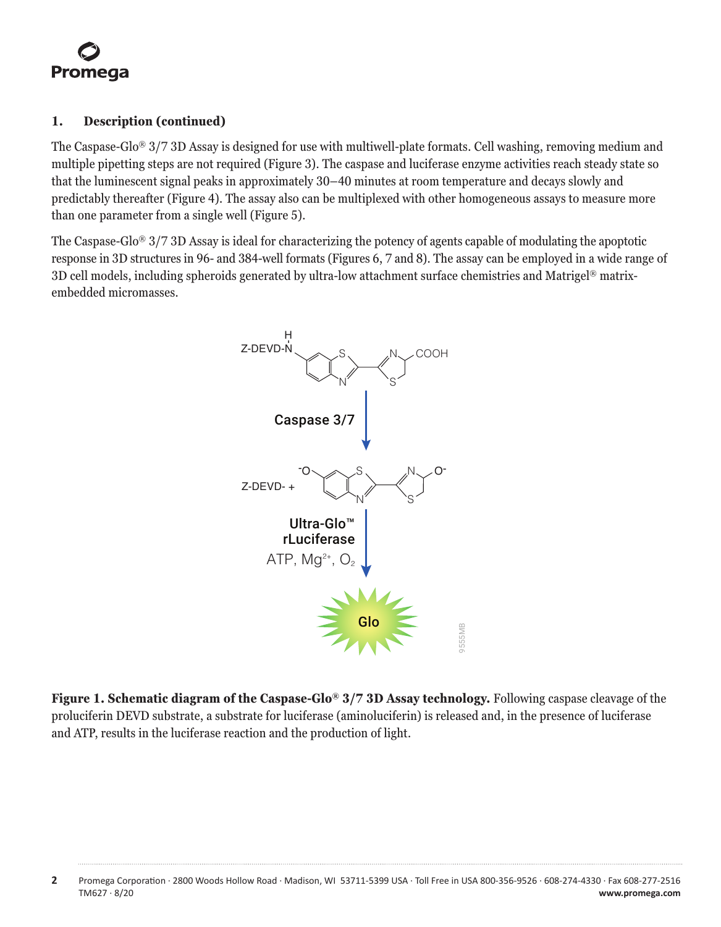## **1. Description (continued)**

The Caspase-Glo® 3/7 3D Assay is designed for use with multiwell-plate formats. Cell washing, removing medium and multiple pipetting steps are not required (Figure 3). The caspase and luciferase enzyme activities reach steady state so that the luminescent signal peaks in approximately 30–40 minutes at room temperature and decays slowly and predictably thereafter (Figure 4). The assay also can be multiplexed with other homogeneous assays to measure more than one parameter from a single well (Figure 5).

The Caspase-Glo® 3/7 3D Assay is ideal for characterizing the potency of agents capable of modulating the apoptotic response in 3D structures in 96- and 384-well formats (Figures 6, 7 and 8). The assay can be employed in a wide range of 3D cell models, including spheroids generated by ultra-low attachment surface chemistries and Matrigel® matrixembedded micromasses.



**Figure 1. Schematic diagram of the Caspase-Glo® 3/7 3D Assay technology.** Following caspase cleavage of the proluciferin DEVD substrate, a substrate for luciferase (aminoluciferin) is released and, in the presence of luciferase and ATP, results in the luciferase reaction and the production of light.

**<sup>2</sup>** Promega Corporation · 2800 Woods Hollow Road · Madison, WI 53711-5399 USA · Toll Free in USA 800-356-9526 · 608-274-4330 · Fax 608-277-2516 TM627 · 8/20 **www.promega.com**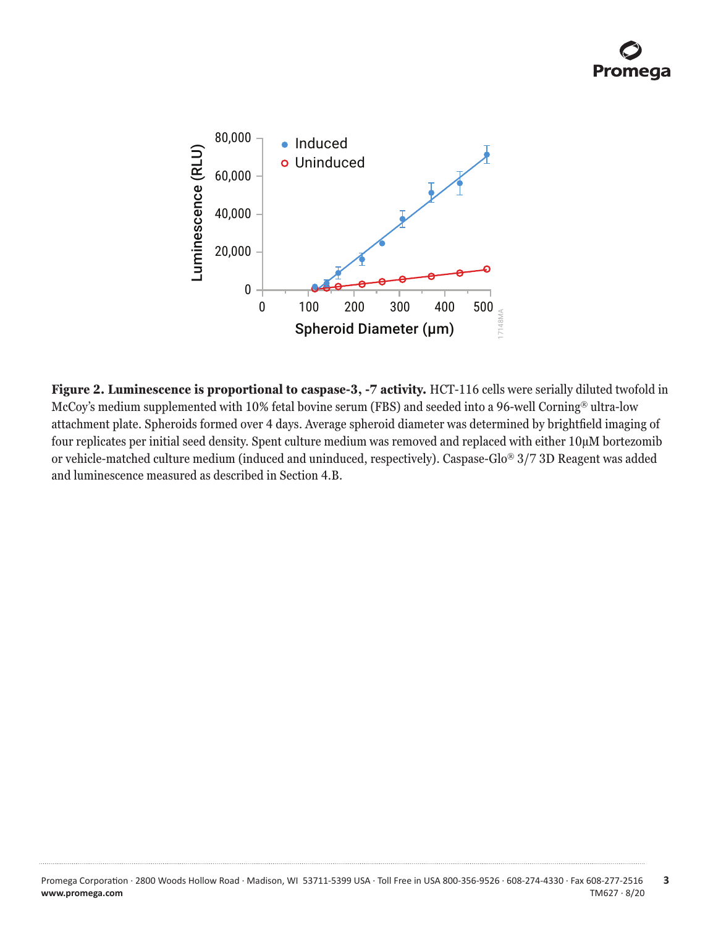

**Figure 2. Luminescence is proportional to caspase-3, -7 activity.** HCT-116 cells were serially diluted twofold in McCoy's medium supplemented with 10% fetal bovine serum (FBS) and seeded into a 96-well Corning® ultra-low attachment plate. Spheroids formed over 4 days. Average spheroid diameter was determined by brightfield imaging of four replicates per initial seed density. Spent culture medium was removed and replaced with either 10µM bortezomib or vehicle-matched culture medium (induced and uninduced, respectively). Caspase-Glo® 3/7 3D Reagent was added and luminescence measured as described in Section 4.B.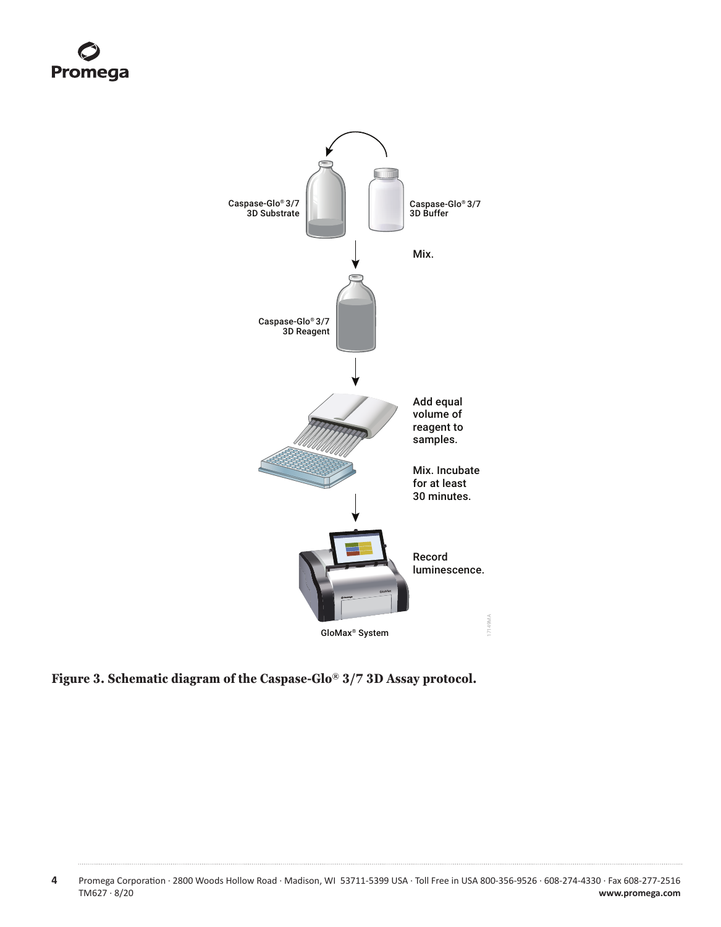

**Figure 3. Schematic diagram of the Caspase-Glo® 3/7 3D Assay protocol.**

**<sup>4</sup>** Promega Corporation · 2800 Woods Hollow Road · Madison, WI 53711-5399 USA · Toll Free in USA 800-356-9526 · 608-274-4330 · Fax 608-277-2516 www.promega.com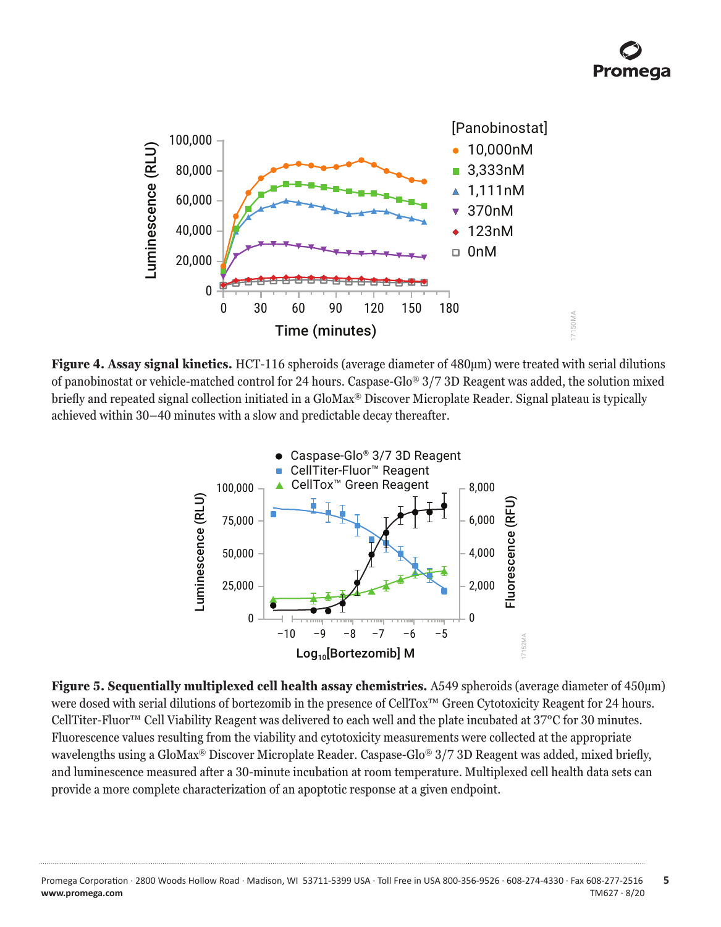

**Figure 4. Assay signal kinetics.** HCT-116 spheroids (average diameter of 480µm) were treated with serial dilutions of panobinostat or vehicle-matched control for 24 hours. Caspase-Glo® 3/7 3D Reagent was added, the solution mixed briefly and repeated signal collection initiated in a GloMax® Discover Microplate Reader. Signal plateau is typically achieved within 30–40 minutes with a slow and predictable decay thereafter.



**Figure 5. Sequentially multiplexed cell health assay chemistries.** A549 spheroids (average diameter of 450µm) were dosed with serial dilutions of bortezomib in the presence of CellTox™ Green Cytotoxicity Reagent for 24 hours. CellTiter-Fluor™ Cell Viability Reagent was delivered to each well and the plate incubated at 37°C for 30 minutes. Fluorescence values resulting from the viability and cytotoxicity measurements were collected at the appropriate wavelengths using a GloMax® Discover Microplate Reader. Caspase-Glo® 3/7 3D Reagent was added, mixed briefly, and luminescence measured after a 30-minute incubation at room temperature. Multiplexed cell health data sets can provide a more complete characterization of an apoptotic response at a given endpoint.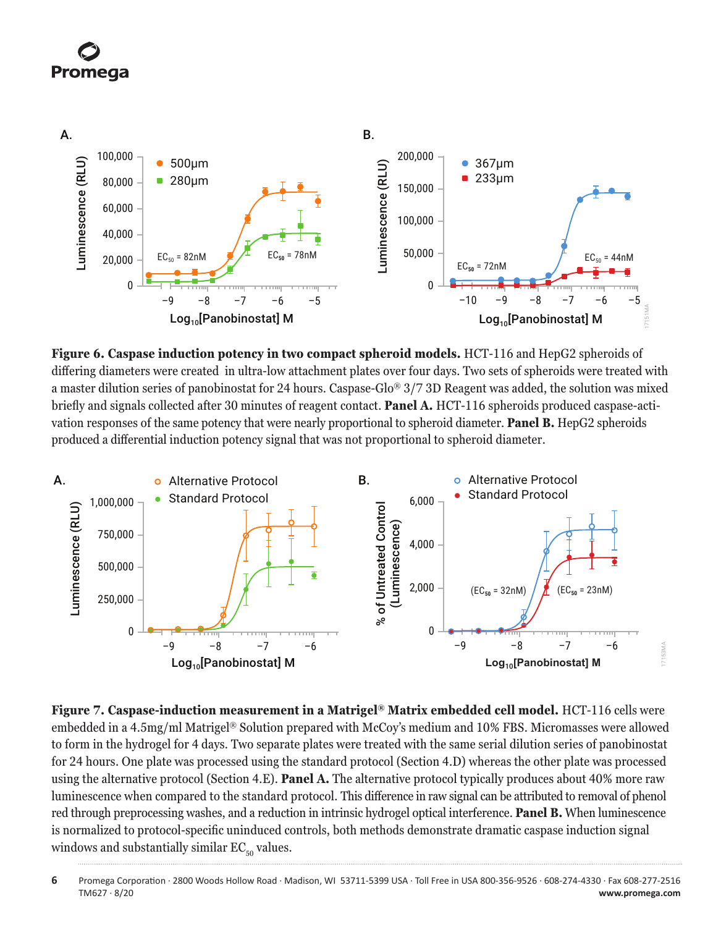



**Figure 6. Caspase induction potency in two compact spheroid models.** HCT-116 and HepG2 spheroids of differing diameters were created in ultra-low attachment plates over four days. Two sets of spheroids were treated with a master dilution series of panobinostat for 24 hours. Caspase-Glo® 3/7 3D Reagent was added, the solution was mixed briefly and signals collected after 30 minutes of reagent contact. **Panel A.** HCT-116 spheroids produced caspase-activation responses of the same potency that were nearly proportional to spheroid diameter. **Panel B.** HepG2 spheroids produced a differential induction potency signal that was not proportional to spheroid diameter.



**Figure 7. Caspase-induction measurement in a Matrigel® Matrix embedded cell model.** HCT-116 cells were embedded in a 4.5mg/ml Matrigel® Solution prepared with McCoy's medium and 10% FBS. Micromasses were allowed to form in the hydrogel for 4 days. Two separate plates were treated with the same serial dilution series of panobinostat for 24 hours. One plate was processed using the standard protocol (Section 4.D) whereas the other plate was processed using the alternative protocol (Section 4.E). **Panel A.** The alternative protocol typically produces about 40% more raw luminescence when compared to the standard protocol. This difference in raw signal can be attributed to removal of phenol red through preprocessing washes, and a reduction in intrinsic hydrogel optical interference. **Panel B.** When luminescence is normalized to protocol-specific uninduced controls, both methods demonstrate dramatic caspase induction signal windows and substantially similar  $EC_{50}$  values.

**<sup>6</sup>** Promega Corporation · 2800 Woods Hollow Road · Madison, WI 53711-5399 USA · Toll Free in USA 800-356-9526 · 608-274-4330 · Fax 608-277-2516 www.promega.com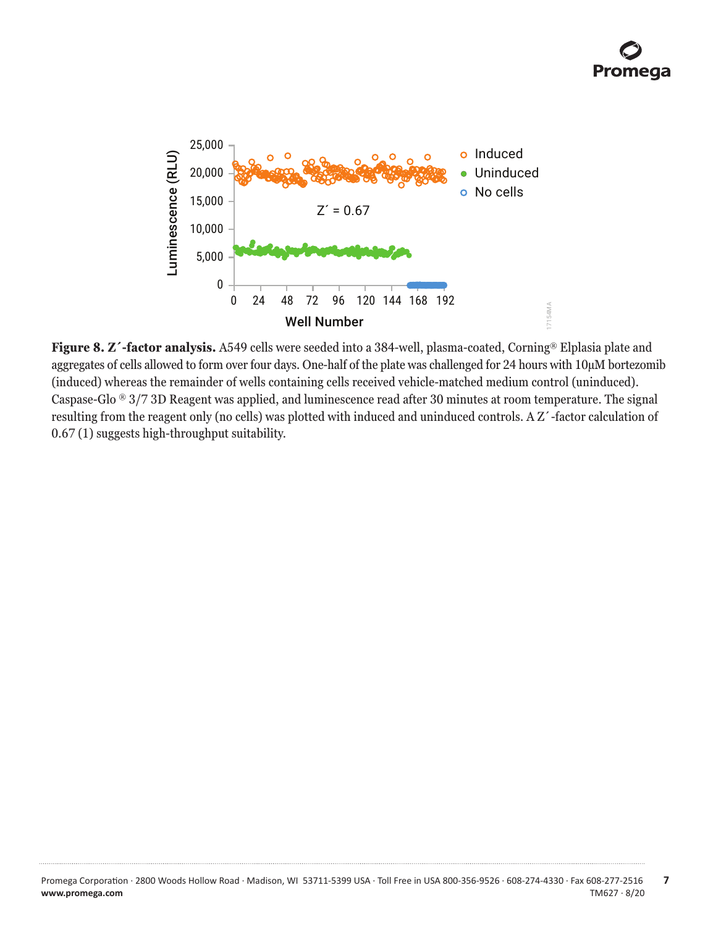

**Figure 8. Z´-factor analysis.** A549 cells were seeded into a 384-well, plasma-coated, Corning® Elplasia plate and aggregates of cells allowed to form over four days. One-half of the plate was challenged for 24 hours with 10µM bortezomib (induced) whereas the remainder of wells containing cells received vehicle-matched medium control (uninduced). Caspase-Glo  $\degree$  3/7 3D Reagent was applied, and luminescence read after 30 minutes at room temperature. The signal resulting from the reagent only (no cells) was plotted with induced and uninduced controls. A Z´-factor calculation of 0.67 (1) suggests high-throughput suitability.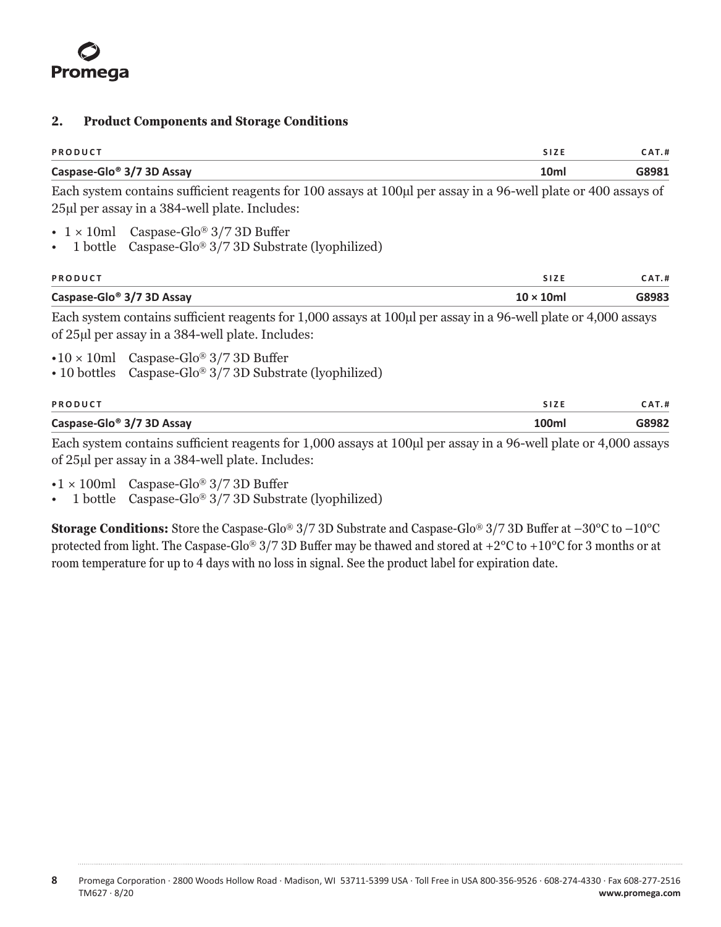#### <span id="page-8-0"></span>**2. Product Components and Storage Conditions**

| <b>PRODUCT</b> |                                       |       | SIZE             | <b>AT.#</b> |
|----------------|---------------------------------------|-------|------------------|-------------|
|                | Caspase-Glo <sup>®</sup> 3/7 3D Assay |       | 10 <sub>ml</sub> | G8981       |
|                | -- -                                  | _____ |                  |             |

Each system contains sufficient reagents for 100 assays at 100µl per assay in a 96-well plate or 400 assays of 25µl per assay in a 384-well plate. Includes:

- $1 \times 10$ ml Caspase-Glo® 3/7 3D Buffer
- 1 bottle Caspase-Glo® 3/7 3D Substrate (lyophilized)

| PRODUCT                               | <b>SIZE</b>       | <b>CAT.#</b> |
|---------------------------------------|-------------------|--------------|
| Caspase-Glo <sup>®</sup> 3/7 3D Assay | $10 \times 10$ ml | G8983        |

Each system contains sufficient reagents for 1,000 assays at 100 $\mu$ l per assay in a 96-well plate or 4,000 assays of 25µl per assay in a 384-well plate. Includes:

- $\cdot 10 \times 10$ ml Caspase-Glo® 3/7 3D Buffer
- 10 bottles Caspase-Glo® 3/7 3D Substrate (lyophilized)

| PRODUCT                               |       | <b>AT.#</b> |
|---------------------------------------|-------|-------------|
| Caspase-Glo <sup>®</sup> 3/7 3D Assay | '00ml | 38982       |

Each system contains sufficient reagents for 1,000 assays at 100µl per assay in a 96-well plate or 4,000 assays of 25µl per assay in a 384-well plate. Includes:

- $\cdot$ 1 × 100ml Caspase-Glo® 3/7 3D Buffer
- 1 bottle Caspase-Glo<sup>®</sup>  $3/7$  3D Substrate (lyophilized)

**Storage Conditions:** Store the Caspase-Glo® 3/7 3D Substrate and Caspase-Glo® 3/7 3D Buffer at –30°C to –10°C protected from light. The Caspase-Glo<sup>®</sup> 3/7 3D Buffer may be thawed and stored at +2 $^{\circ}$ C to +10 $^{\circ}$ C for 3 months or at room temperature for up to 4 days with no loss in signal. See the product label for expiration date.

**8** Promega Corporation · 2800 Woods Hollow Road · Madison, WI 53711-5399 USA · Toll Free in USA 800-356-9526 · 608-274-4330 · Fax 608-277-2516 TM627 · 8/20 **www.promega.com**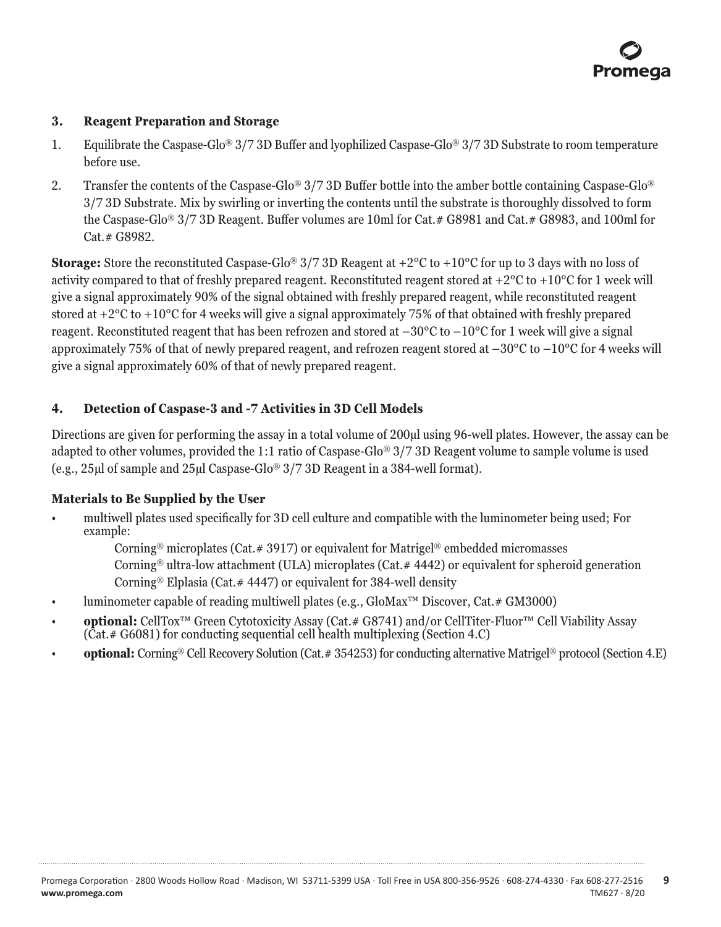## <span id="page-9-0"></span>**3. Reagent Preparation and Storage**

- 1. Equilibrate the Caspase-Glo® 3/7 3D Buffer and lyophilized Caspase-Glo® 3/7 3D Substrate to room temperature before use.
- 2. Transfer the contents of the Caspase-Glo® 3/7 3D Buffer bottle into the amber bottle containing Caspase-Glo® 3/7 3D Substrate. Mix by swirling or inverting the contents until the substrate is thoroughly dissolved to form the Caspase-Glo® 3/7 3D Reagent. Buffer volumes are 10ml for Cat.# G8981 and Cat.# G8983, and 100ml for Cat.# G8982.

**Storage:** Store the reconstituted Caspase-Glo<sup>®</sup> 3/7 3D Reagent at +2<sup>o</sup>C to +10<sup>o</sup>C for up to 3 days with no loss of activity compared to that of freshly prepared reagent. Reconstituted reagent stored at  $+2^{\circ}C$  to  $+10^{\circ}C$  for 1 week will give a signal approximately 90% of the signal obtained with freshly prepared reagent, while reconstituted reagent stored at +2°C to +10°C for 4 weeks will give a signal approximately 75% of that obtained with freshly prepared reagent. Reconstituted reagent that has been refrozen and stored at  $-30^{\circ}$ C to  $-10^{\circ}$ C for 1 week will give a signal approximately 75% of that of newly prepared reagent, and refrozen reagent stored at  $-30^{\circ}$ C to  $-10^{\circ}$ C for 4 weeks will give a signal approximately 60% of that of newly prepared reagent.

# **4. Detection of Caspase-3 and -7 Activities in 3D Cell Models**

Directions are given for performing the assay in a total volume of 200µl using 96-well plates. However, the assay can be adapted to other volumes, provided the 1:1 ratio of Caspase-Glo® 3/7 3D Reagent volume to sample volume is used (e.g., 25µl of sample and 25µl Caspase-Glo® 3/7 3D Reagent in a 384-well format).

# **Materials to Be Supplied by the User**

- multiwell plates used specifically for 3D cell culture and compatible with the luminometer being used; For example:
	- Corning<sup>®</sup> microplates (Cat.#3917) or equivalent for Matrigel<sup>®</sup> embedded micromasses

Corning® ultra-low attachment (ULA) microplates (Cat.# 4442) or equivalent for spheroid generation Corning® Elplasia (Cat.# 4447) or equivalent for 384-well density

- luminometer capable of reading multiwell plates (e.g., GloMax™ Discover, Cat.# GM3000)
- **optional:** CellTox™ Green Cytotoxicity Assay (Cat.# G8741) and/or CellTiter-Fluor™ Cell Viability Assay (Cat.# G6081) for conducting sequential cell health multiplexing (Section 4.C)
- **optional:** Corning® Cell Recovery Solution (Cat.# 354253) for conducting alternative Matrigel® protocol (Section 4.E)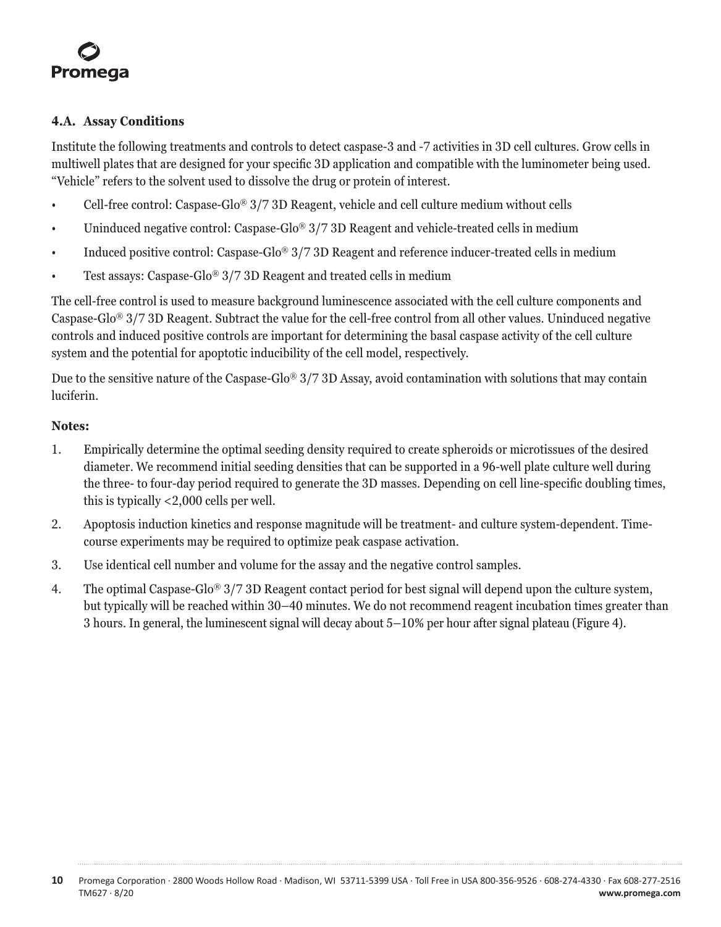# <span id="page-10-0"></span>**4.A. Assay Conditions**

Institute the following treatments and controls to detect caspase-3 and -7 activities in 3D cell cultures. Grow cells in multiwell plates that are designed for your specific 3D application and compatible with the luminometer being used. "Vehicle" refers to the solvent used to dissolve the drug or protein of interest.

- Cell-free control: Caspase-Glo® 3/7 3D Reagent, vehicle and cell culture medium without cells
- Uninduced negative control: Caspase-Glo® 3/7 3D Reagent and vehicle-treated cells in medium
- Induced positive control: Caspase-Glo® 3/7 3D Reagent and reference inducer-treated cells in medium
- Test assays: Caspase-Glo® 3/7 3D Reagent and treated cells in medium

The cell-free control is used to measure background luminescence associated with the cell culture components and Caspase-Glo® 3/7 3D Reagent. Subtract the value for the cell-free control from all other values. Uninduced negative controls and induced positive controls are important for determining the basal caspase activity of the cell culture system and the potential for apoptotic inducibility of the cell model, respectively.

Due to the sensitive nature of the Caspase-Glo<sup>®</sup>  $3/7$  3D Assay, avoid contamination with solutions that may contain luciferin.

# **Notes:**

- 1. Empirically determine the optimal seeding density required to create spheroids or microtissues of the desired diameter. We recommend initial seeding densities that can be supported in a 96-well plate culture well during the three- to four-day period required to generate the 3D masses. Depending on cell line-specific doubling times, this is typically <2,000 cells per well.
- 2. Apoptosis induction kinetics and response magnitude will be treatment- and culture system-dependent. Timecourse experiments may be required to optimize peak caspase activation.
- 3. Use identical cell number and volume for the assay and the negative control samples.
- 4. The optimal Caspase-Glo® 3/7 3D Reagent contact period for best signal will depend upon the culture system, but typically will be reached within 30–40 minutes. We do not recommend reagent incubation times greater than 3 hours. In general, the luminescent signal will decay about 5–10% per hour after signal plateau (Figure 4).

**10** Promega Corporation · 2800 Woods Hollow Road · Madison, WI 53711-5399 USA · Toll Free in USA 800-356-9526 · 608-274-4330 · Fax 608-277-2516 TM627 · 8/20 **www.promega.com**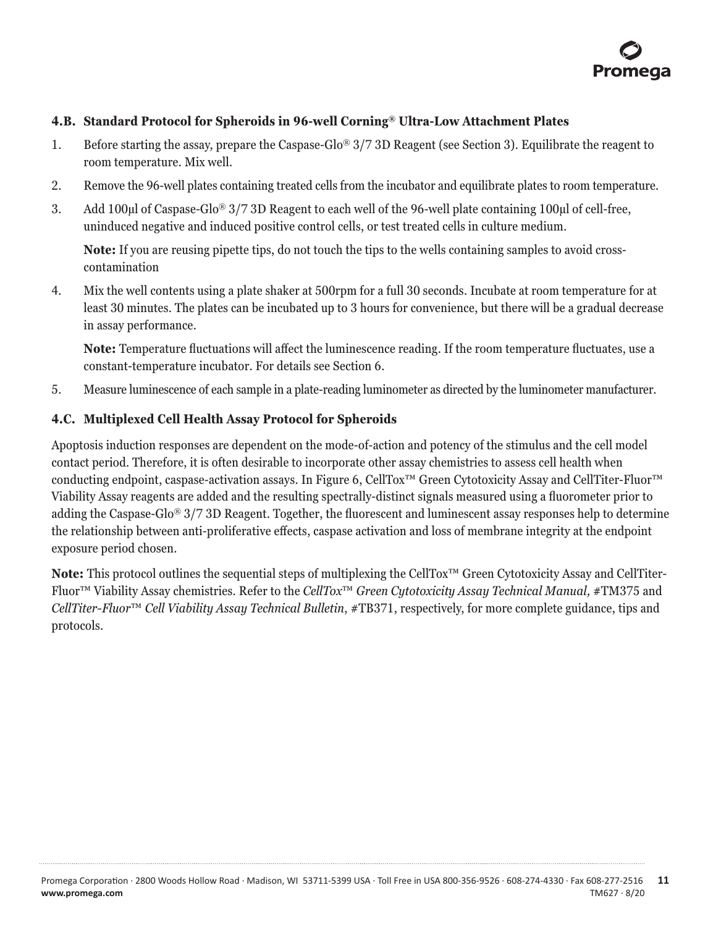

#### <span id="page-11-0"></span>**4.B. Standard Protocol for Spheroids in 96-well Corning® Ultra-Low Attachment Plates**

- 1. Before starting the assay, prepare the Caspase-Glo® 3/7 3D Reagent (see Section 3). Equilibrate the reagent to room temperature. Mix well.
- 2. Remove the 96-well plates containing treated cells from the incubator and equilibrate plates to room temperature.
- 3. Add 100µl of Caspase-Glo® 3/7 3D Reagent to each well of the 96-well plate containing 100µl of cell-free, uninduced negative and induced positive control cells, or test treated cells in culture medium.

**Note:** If you are reusing pipette tips, do not touch the tips to the wells containing samples to avoid crosscontamination

4. Mix the well contents using a plate shaker at 500rpm for a full 30 seconds. Incubate at room temperature for at least 30 minutes. The plates can be incubated up to 3 hours for convenience, but there will be a gradual decrease in assay performance.

**Note:** Temperature fluctuations will affect the luminescence reading. If the room temperature fluctuates, use a constant-temperature incubator. For details see Section 6.

5. Measure luminescence of each sample in a plate-reading luminometer as directed by the luminometer manufacturer.

#### **4.C. Multiplexed Cell Health Assay Protocol for Spheroids**

Apoptosis induction responses are dependent on the mode-of-action and potency of the stimulus and the cell model contact period. Therefore, it is often desirable to incorporate other assay chemistries to assess cell health when conducting endpoint, caspase-activation assays. In Figure 6, CellTox™ Green Cytotoxicity Assay and CellTiter-Fluor™ Viability Assay reagents are added and the resulting spectrally-distinct signals measured using a fluorometer prior to adding the Caspase-Glo® 3/7 3D Reagent. Together, the fluorescent and luminescent assay responses help to determine the relationship between anti-proliferative effects, caspase activation and loss of membrane integrity at the endpoint exposure period chosen.

**Note:** This protocol outlines the sequential steps of multiplexing the CellTox™ Green Cytotoxicity Assay and CellTiter-Fluor™ Viability Assay chemistries. Refer to the *CellTox*™ *Green Cytotoxicity Assay Technical Manual,* #TM375 and *CellTiter-Fluor*™ *Cell Viability Assay Technical Bulletin*, #TB371, respectively, for more complete guidance, tips and protocols.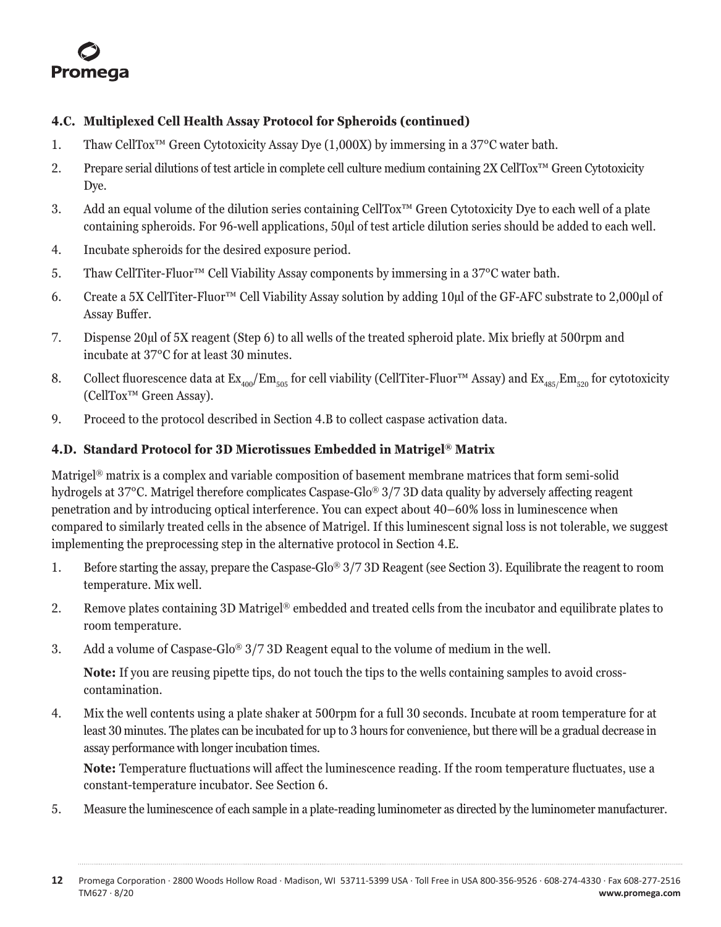<span id="page-12-0"></span>

# **4.C. Multiplexed Cell Health Assay Protocol for Spheroids (continued)**

- 1. Thaw CellTox™ Green Cytotoxicity Assay Dye (1,000X) by immersing in a 37°C water bath.
- 2. Prepare serial dilutions of test article in complete cell culture medium containing 2X CellTox™ Green Cytotoxicity Dye.
- 3. Add an equal volume of the dilution series containing CellTox™ Green Cytotoxicity Dye to each well of a plate containing spheroids. For 96-well applications, 50µl of test article dilution series should be added to each well.
- 4. Incubate spheroids for the desired exposure period.
- 5. Thaw CellTiter-Fluor™ Cell Viability Assay components by immersing in a 37°C water bath.
- 6. Create a 5X CellTiter-Fluor™ Cell Viability Assay solution by adding 10µl of the GF-AFC substrate to 2,000µl of Assay Buffer.
- 7. Dispense 20µl of 5X reagent (Step 6) to all wells of the treated spheroid plate. Mix briefly at 500rpm and incubate at 37°C for at least 30 minutes.
- 8. Collect fluorescence data at  $Ex_{400}/Em_{505}$  for cell viability (CellTiter-Fluor™ Assay) and  $Ex_{485}/Em_{520}$  for cytotoxicity (CellTox™ Green Assay).
- 9. Proceed to the protocol described in Section 4.B to collect caspase activation data.

#### **4.D. Standard Protocol for 3D Microtissues Embedded in Matrigel® Matrix**

Matrigel® matrix is a complex and variable composition of basement membrane matrices that form semi-solid hydrogels at 37°C. Matrigel therefore complicates Caspase-Glo® 3/7 3D data quality by adversely affecting reagent penetration and by introducing optical interference. You can expect about 40–60% loss in luminescence when compared to similarly treated cells in the absence of Matrigel. If this luminescent signal loss is not tolerable, we suggest implementing the preprocessing step in the alternative protocol in Section 4.E.

- 1. Before starting the assay, prepare the Caspase-Glo® 3/7 3D Reagent (see Section 3). Equilibrate the reagent to room temperature. Mix well.
- 2. Remove plates containing 3D Matrigel® embedded and treated cells from the incubator and equilibrate plates to room temperature.
- 3. Add a volume of Caspase-Glo® 3/7 3D Reagent equal to the volume of medium in the well.

**Note:** If you are reusing pipette tips, do not touch the tips to the wells containing samples to avoid crosscontamination.

4. Mix the well contents using a plate shaker at 500rpm for a full 30 seconds. Incubate at room temperature for at least 30 minutes. The plates can be incubated for up to 3 hours for convenience, but there will be a gradual decrease in assay performance with longer incubation times.

**Note:** Temperature fluctuations will affect the luminescence reading. If the room temperature fluctuates, use a constant-temperature incubator. See Section 6.

5. Measure the luminescence of each sample in a plate-reading luminometer as directed by the luminometer manufacturer.

**<sup>12</sup>** Promega Corporation · 2800 Woods Hollow Road · Madison, WI 53711-5399 USA · Toll Free in USA 800-356-9526 · 608-274-4330 · Fax 608-277-2516 TM627 · 8/20 **www.promega.com**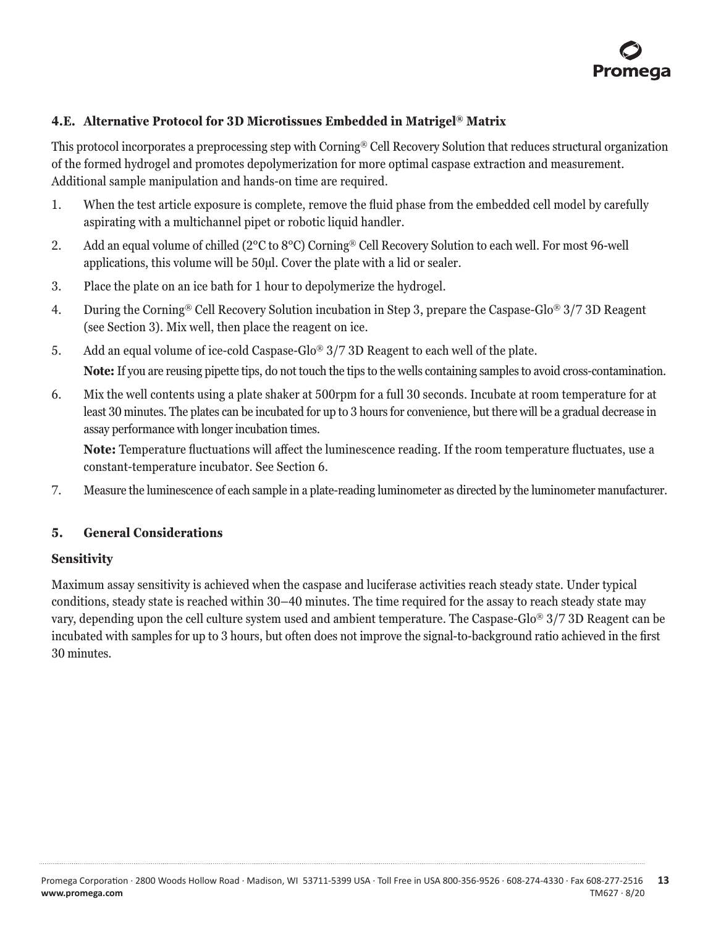

# <span id="page-13-0"></span>**4.E. Alternative Protocol for 3D Microtissues Embedded in Matrigel® Matrix**

This protocol incorporates a preprocessing step with Corning® Cell Recovery Solution that reduces structural organization of the formed hydrogel and promotes depolymerization for more optimal caspase extraction and measurement. Additional sample manipulation and hands-on time are required.

- 1. When the test article exposure is complete, remove the fluid phase from the embedded cell model by carefully aspirating with a multichannel pipet or robotic liquid handler.
- 2. Add an equal volume of chilled (2°C to 8°C) Corning® Cell Recovery Solution to each well. For most 96-well applications, this volume will be 50µl. Cover the plate with a lid or sealer.
- 3. Place the plate on an ice bath for 1 hour to depolymerize the hydrogel.
- 4. During the Corning® Cell Recovery Solution incubation in Step 3, prepare the Caspase-Glo® 3/7 3D Reagent (see Section 3). Mix well, then place the reagent on ice.
- 5. Add an equal volume of ice-cold Caspase-Glo® 3/7 3D Reagent to each well of the plate. **Note:** If you are reusing pipette tips, do not touch the tips to the wells containing samples to avoid cross-contamination.
- 6. Mix the well contents using a plate shaker at 500rpm for a full 30 seconds. Incubate at room temperature for at least 30 minutes. The plates can be incubated for up to 3 hours for convenience, but there will be a gradual decrease in assay performance with longer incubation times.

**Note:** Temperature fluctuations will affect the luminescence reading. If the room temperature fluctuates, use a constant-temperature incubator. See Section 6.

7. Measure the luminescence of each sample in a plate-reading luminometer as directed by the luminometer manufacturer.

#### **5. General Considerations**

#### **Sensitivity**

Maximum assay sensitivity is achieved when the caspase and luciferase activities reach steady state. Under typical conditions, steady state is reached within 30–40 minutes. The time required for the assay to reach steady state may vary, depending upon the cell culture system used and ambient temperature. The Caspase-Glo® 3/7 3D Reagent can be incubated with samples for up to 3 hours, but often does not improve the signal-to-background ratio achieved in the first 30 minutes.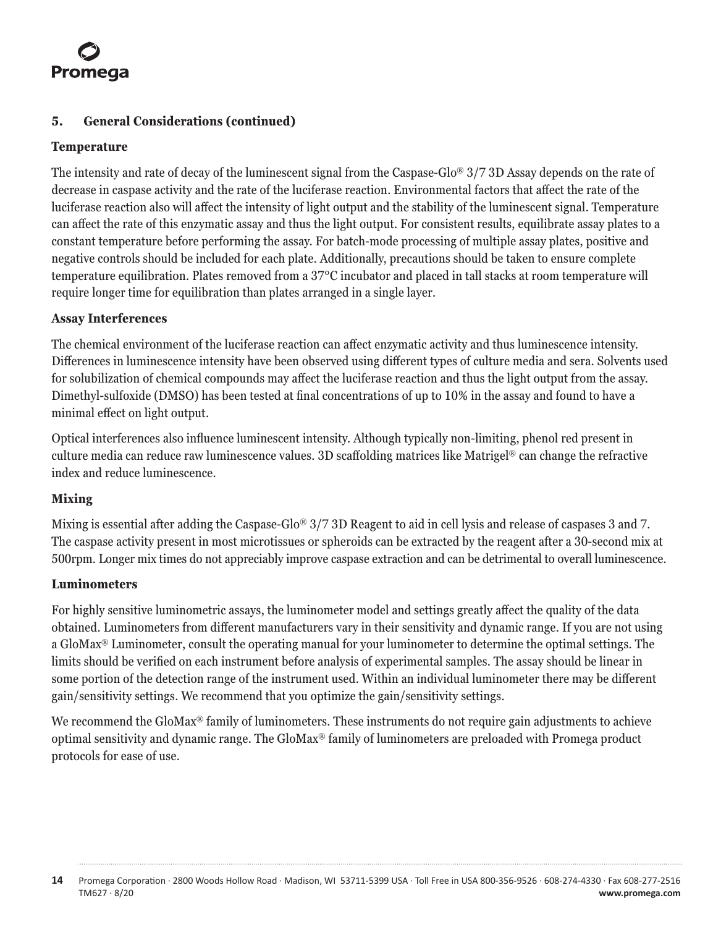# Promega

# **5. General Considerations (continued)**

## **Temperature**

The intensity and rate of decay of the luminescent signal from the Caspase-Glo® 3/7 3D Assay depends on the rate of decrease in caspase activity and the rate of the luciferase reaction. Environmental factors that affect the rate of the luciferase reaction also will affect the intensity of light output and the stability of the luminescent signal. Temperature can affect the rate of this enzymatic assay and thus the light output. For consistent results, equilibrate assay plates to a constant temperature before performing the assay. For batch-mode processing of multiple assay plates, positive and negative controls should be included for each plate. Additionally, precautions should be taken to ensure complete temperature equilibration. Plates removed from a 37°C incubator and placed in tall stacks at room temperature will require longer time for equilibration than plates arranged in a single layer.

## **Assay Interferences**

The chemical environment of the luciferase reaction can affect enzymatic activity and thus luminescence intensity. Differences in luminescence intensity have been observed using different types of culture media and sera. Solvents used for solubilization of chemical compounds may affect the luciferase reaction and thus the light output from the assay. Dimethyl-sulfoxide (DMSO) has been tested at final concentrations of up to 10% in the assay and found to have a minimal effect on light output.

Optical interferences also influence luminescent intensity. Although typically non-limiting, phenol red present in culture media can reduce raw luminescence values. 3D scaffolding matrices like Matrigel® can change the refractive index and reduce luminescence.

# **Mixing**

Mixing is essential after adding the Caspase-Glo® 3/7 3D Reagent to aid in cell lysis and release of caspases 3 and 7. The caspase activity present in most microtissues or spheroids can be extracted by the reagent after a 30-second mix at 500rpm. Longer mix times do not appreciably improve caspase extraction and can be detrimental to overall luminescence.

#### **Luminometers**

For highly sensitive luminometric assays, the luminometer model and settings greatly affect the quality of the data obtained. Luminometers from different manufacturers vary in their sensitivity and dynamic range. If you are not using a GloMax® Luminometer, consult the operating manual for your luminometer to determine the optimal settings. The limits should be verified on each instrument before analysis of experimental samples. The assay should be linear in some portion of the detection range of the instrument used. Within an individual luminometer there may be different gain/sensitivity settings. We recommend that you optimize the gain/sensitivity settings.

We recommend the GloMax<sup>®</sup> family of luminometers. These instruments do not require gain adjustments to achieve optimal sensitivity and dynamic range. The GloMax® family of luminometers are preloaded with Promega product protocols for ease of use.

**<sup>14</sup>** Promega Corporation · 2800 Woods Hollow Road · Madison, WI 53711-5399 USA · Toll Free in USA 800-356-9526 · 608-274-4330 · Fax 608-277-2516 TM627 · 8/20 **www.promega.com**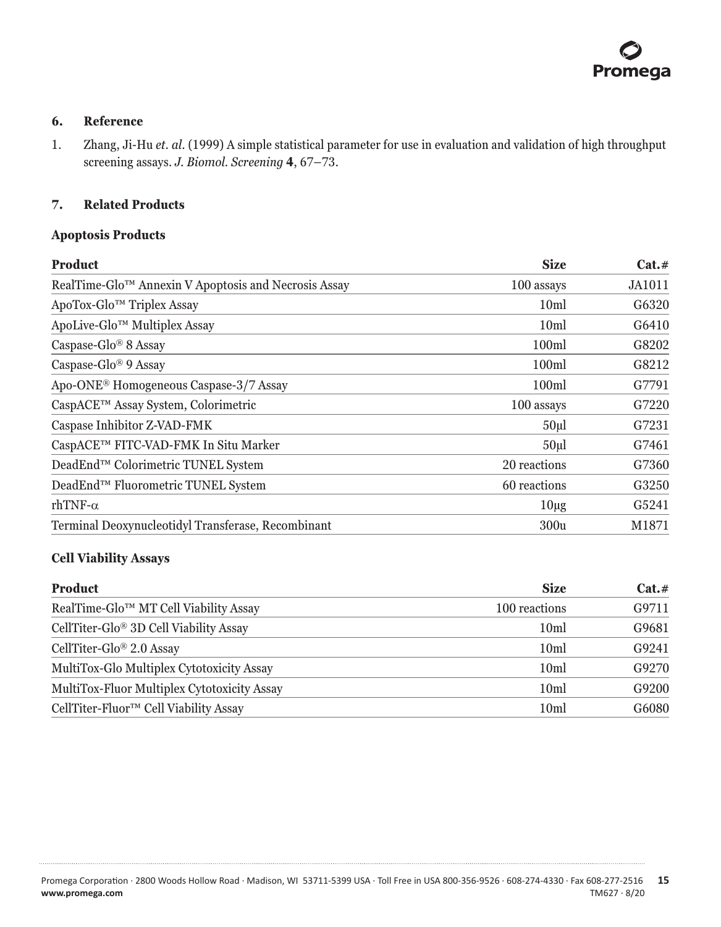## <span id="page-15-0"></span>**6. Reference**

1. Zhang, Ji-Hu *et. al.* (1999) A simple statistical parameter for use in evaluation and validation of high throughput screening assays. *J. Biomol. Screening* **4**, 67–73.

# **7. Related Products**

#### **Apoptosis Products**

| <b>Product</b>                                       | <b>Size</b>       | Cat.#         |
|------------------------------------------------------|-------------------|---------------|
| RealTime-Glo™ Annexin V Apoptosis and Necrosis Assay | 100 assays        | <b>JA1011</b> |
| ApoTox-Glo™ Triplex Assay                            | 10 <sub>ml</sub>  | G6320         |
| ApoLive-Glo™ Multiplex Assay                         | 10ml              | G6410         |
| Caspase-Glo <sup>®</sup> 8 Assay                     | 100m              | G8202         |
| Caspase-Glo <sup>®</sup> 9 Assay                     | 100 <sub>ml</sub> | G8212         |
| Apo-ONE <sup>®</sup> Homogeneous Caspase-3/7 Assay   | 100 <sub>ml</sub> | G7791         |
| CaspACE™ Assay System, Colorimetric                  | 100 assays        | G7220         |
| Caspase Inhibitor Z-VAD-FMK                          | 50 <sub>µ</sub>   | G7231         |
| CaspACE™ FITC-VAD-FMK In Situ Marker                 | 50 <sub>µ</sub>   | G7461         |
| DeadEnd™ Colorimetric TUNEL System                   | 20 reactions      | G7360         |
| DeadEnd <sup>™</sup> Fluorometric TUNEL System       | 60 reactions      | G3250         |
| rhTNF- $\alpha$                                      | $10\mu$ g         | G5241         |
| Terminal Deoxynucleotidyl Transferase, Recombinant   | 300u              | M1871         |

# **Cell Viability Assays**

. . . . . . . . .

. . . . . . . . . . .

. . . . . . . . .

. . . . . . . . . .

. . . . . . . . . . . . .

| <b>Product</b>                              | <b>Size</b>      | $Cat. \#$ |
|---------------------------------------------|------------------|-----------|
| RealTime-Glo™ MT Cell Viability Assay       | 100 reactions    | G9711     |
| CellTiter-Glo® 3D Cell Viability Assay      | 10 <sub>m</sub>  | G9681     |
| CellTiter-Glo <sup>®</sup> 2.0 Assay        | 10ml             | G9241     |
| MultiTox-Glo Multiplex Cytotoxicity Assay   | 10ml             | G9270     |
| MultiTox-Fluor Multiplex Cytotoxicity Assay | 10ml             | G9200     |
| CellTiter-Fluor™ Cell Viability Assay       | 10 <sub>ml</sub> | G6080     |

. . . . . . . . . .

. . . . . . . . .

. . . . . . . .

. . . . . . .

. . . . . . . .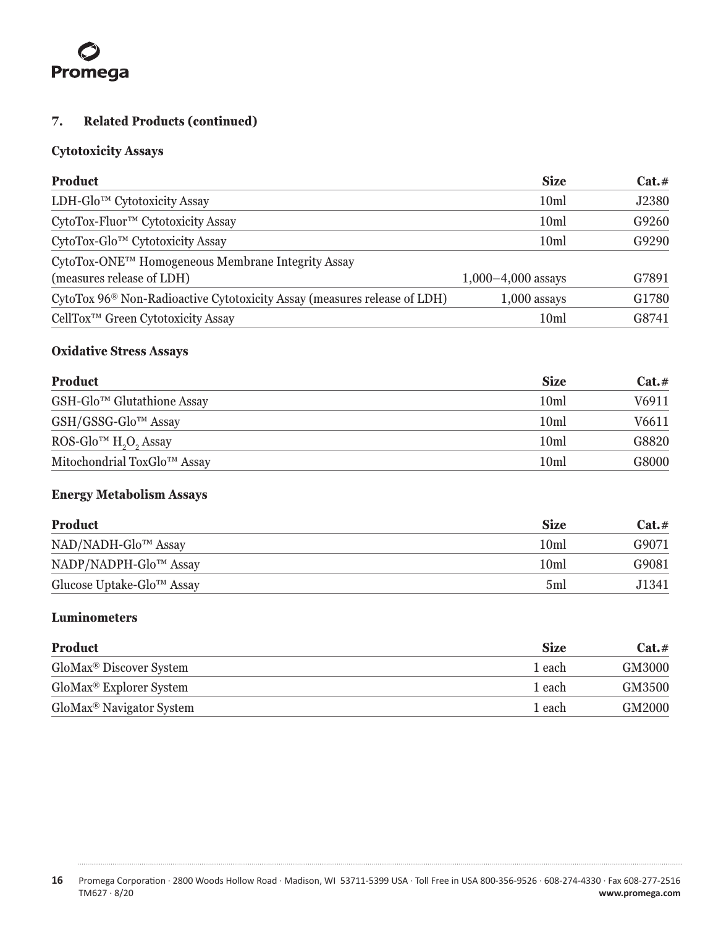# Promega

# **7. Related Products (continued)**

# **Cytotoxicity Assays**

| <b>Product</b>                                                                       | <b>Size</b>          | Cat.# |
|--------------------------------------------------------------------------------------|----------------------|-------|
| LDH-Glo™ Cytotoxicity Assay                                                          | 10 <sub>m</sub>      | J2380 |
| CytoTox-Fluor™ Cytotoxicity Assay                                                    | 10ml                 | G9260 |
| CytoTox-Glo™ Cytotoxicity Assay                                                      | 10 <sub>ml</sub>     | G9290 |
| CytoTox-ONE™ Homogeneous Membrane Integrity Assay                                    |                      |       |
| (measures release of LDH)                                                            | $1,000-4,000$ assays | G7891 |
| CytoTox 96 <sup>®</sup> Non-Radioactive Cytotoxicity Assay (measures release of LDH) | $1,000$ assays       | G1780 |
| CellTox <sup>™</sup> Green Cytotoxicity Assay                                        | 10 <sub>ml</sub>     | G8741 |

# **Oxidative Stress Assays**

| Product                                                   | <b>Size</b>      | Cat.# |
|-----------------------------------------------------------|------------------|-------|
| GSH-Glo™ Glutathione Assay                                | 10 <sub>m</sub>  | V6911 |
| GSH/GSSG-Glo <sup>™</sup> Assay                           | 10 <sub>m</sub>  | V6611 |
| ROS-Glo <sup>TM</sup> H <sub>2</sub> O <sub>2</sub> Assay | 10ml             | G8820 |
| Mitochondrial ToxGlo™ Assay                               | 10 <sub>ml</sub> | G8000 |

# **Energy Metabolism Assays**

| <b>Product</b>                                      | <b>Size</b> | $Cat. \#$ |
|-----------------------------------------------------|-------------|-----------|
| NAD/NADH-Glo <sup>™</sup> Assay                     | 10ml        | G9071     |
| NADP/NADPH-Glo™ Assay                               | 10ml        | G9081     |
| Glucose Uptake-Glo <sup><math>TM</math></sup> Assay | 5ml         | J1341.    |

# **Luminometers**

| <b>Product</b>                       | <b>Size</b> | $Cat. \#$ |
|--------------------------------------|-------------|-----------|
| GloMax <sup>®</sup> Discover System  | 1 each      | GM3000    |
| GloMax <sup>®</sup> Explorer System  | 1 each      | GM3500    |
| GloMax <sup>®</sup> Navigator System | 1 each      | GM2000    |

. . . . . . . . **16** Promega Corporation · 2800 Woods Hollow Road · Madison, WI 53711-5399 USA · Toll Free in USA 800-356-9526 · 608-274-4330 · Fax 608-277-2516 www.promega.com

. . . . . . . . .

. . . . . . .

. . . . . . . .

. . . . . . .

. . . . . . .

. . . . . . . . .